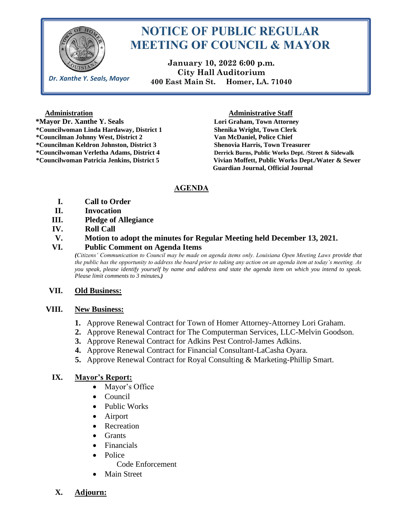

*Dr. Xanthe Y. Seals, Mayor*

# **NOTICE OF PUBLIC REGULAR MEETING OF COUNCIL & MAYOR**

**January 10, 2022 6:00 p.m. City Hall Auditorium 400 East Main St. Homer, LA. 71040**

 **\*Mayor Dr. Xanthe Y. Seals Lori Graham, Town Attorney \*Councilwoman Linda Hardaway, District 1 Shenika Wright, Town Clerk \*Councilman Johnny West, District 2 Van McDaniel, Police Chief \*Councilman Keldron Johnston, District 3 Shenovia Harris, Town Treasurer**

#### **Administration Administrative Staff**

**\*Councilwoman Verletha Adams, District 4 Derrick Burns, Public Works Dept. /Street & Sidewalk \*Councilwoman Patricia Jenkins, District 5 Vivian Moffett, Public Works Dept./Water & Sewer Guardian Journal, Official Journal** 

# **AGENDA**

- **I. Call to Order**
- **II. Invocation**
- **III. Pledge of Allegiance**
- **IV. Roll Call**

## **V. Motion to adopt the minutes for Regular Meeting held December 13, 2021.**

## **VI. Public Comment on Agenda Items**

*(Citizens' Communication to Council may be made on agenda items only. Louisiana Open Meeting Laws provide that the public has the opportunity to address the board prior to taking any action on an agenda item at today's meeting. As you speak, please identify yourself by name and address and state the agenda item on which you intend to speak. Please limit comments to 3 minutes.)*

# **VII. Old Business:**

# **VIII. New Business:**

- **1.** Approve Renewal Contract for Town of Homer Attorney-Attorney Lori Graham.
- **2.** Approve Renewal Contract for The Computerman Services, LLC-Melvin Goodson.
- **3.** Approve Renewal Contract for Adkins Pest Control-James Adkins.
- **4.** Approve Renewal Contract for Financial Consultant-LaCasha Oyara.
- **5.** Approve Renewal Contract for Royal Consulting & Marketing-Phillip Smart.

# **IX. Mayor's Report:**

- Mayor's Office
- Council
- Public Works
- Airport
- Recreation
- Grants
- Financials
- Police

Code Enforcement

- **Main Street**
- **X. Adjourn:**